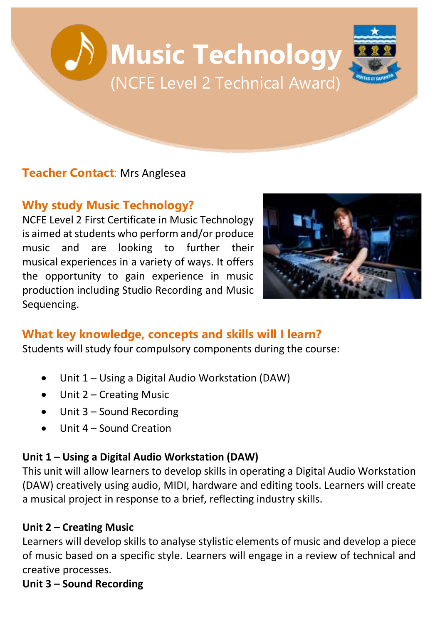# **Music Technology** (NCFE Level 2 Technical Award)

# **Teacher Contact**: Mrs Anglesea

# **Why study Music Technology?**

NCFE Level 2 First Certificate in Music Technology is aimed at students who perform and/or produce music and are looking to further their musical experiences in a variety of ways. It offers the opportunity to gain experience in music production including Studio Recording and Music Sequencing.



# **What key knowledge, concepts and skills will I learn?**

Students will study four compulsory components during the course:

- Unit 1 Using a Digital Audio Workstation (DAW)
- Unit 2 Creating Music
- Unit 3 Sound Recording
- Unit 4 Sound Creation

#### **Unit 1 – Using a Digital Audio Workstation (DAW)**

This unit will allow learners to develop skills in operating a Digital Audio Workstation (DAW) creatively using audio, MIDI, hardware and editing tools. Learners will create a musical project in response to a brief, reflecting industry skills.

#### **Unit 2 – Creating Music**

Learners will develop skills to analyse stylistic elements of music and develop a piece of music based on a specific style. Learners will engage in a review of technical and creative processes.

#### **Unit 3 – Sound Recording**